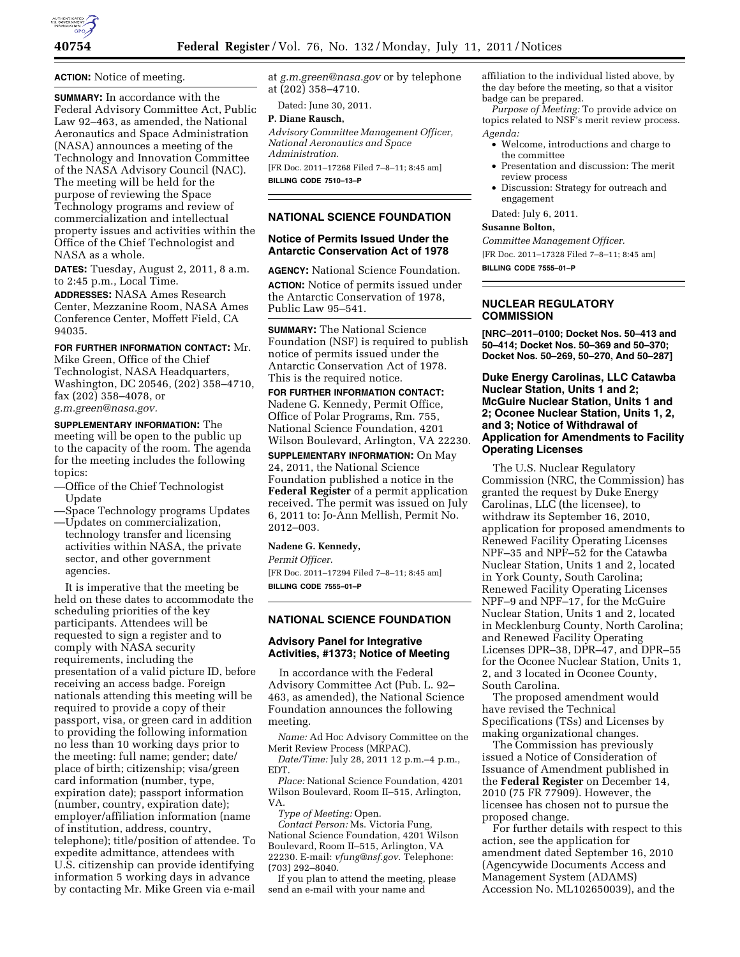

**ACTION:** Notice of meeting.

**SUMMARY:** In accordance with the Federal Advisory Committee Act, Public Law 92–463, as amended, the National Aeronautics and Space Administration (NASA) announces a meeting of the Technology and Innovation Committee of the NASA Advisory Council (NAC). The meeting will be held for the purpose of reviewing the Space Technology programs and review of commercialization and intellectual property issues and activities within the Office of the Chief Technologist and NASA as a whole.

**DATES:** Tuesday, August 2, 2011, 8 a.m. to 2:45 p.m., Local Time.

**ADDRESSES:** NASA Ames Research Center, Mezzanine Room, NASA Ames Conference Center, Moffett Field, CA 94035.

**FOR FURTHER INFORMATION CONTACT:** Mr.

Mike Green, Office of the Chief Technologist, NASA Headquarters, Washington, DC 20546, (202) 358–4710, fax (202) 358–4078, or *[g.m.green@nasa.gov.](mailto:g.m.green@nasa.gov)* 

**SUPPLEMENTARY INFORMATION:** The meeting will be open to the public up to the capacity of the room. The agenda for the meeting includes the following topics:

- —Office of the Chief Technologist Update
- —Space Technology programs Updates
- —Updates on commercialization, technology transfer and licensing activities within NASA, the private sector, and other government agencies.

It is imperative that the meeting be held on these dates to accommodate the scheduling priorities of the key participants. Attendees will be requested to sign a register and to comply with NASA security requirements, including the presentation of a valid picture ID, before receiving an access badge. Foreign nationals attending this meeting will be required to provide a copy of their passport, visa, or green card in addition to providing the following information no less than 10 working days prior to the meeting: full name; gender; date/ place of birth; citizenship; visa/green card information (number, type, expiration date); passport information (number, country, expiration date); employer/affiliation information (name of institution, address, country, telephone); title/position of attendee. To expedite admittance, attendees with U.S. citizenship can provide identifying information 5 working days in advance by contacting Mr. Mike Green via e-mail

at *[g.m.green@nasa.gov](mailto:g.m.green@nasa.gov)* or by telephone at (202) 358–4710.

Dated: June 30, 2011.

# **P. Diane Rausch,**

*Advisory Committee Management Officer, National Aeronautics and Space Administration.* 

[FR Doc. 2011–17268 Filed 7–8–11; 8:45 am] **BILLING CODE 7510–13–P** 

### **NATIONAL SCIENCE FOUNDATION**

# **Notice of Permits Issued Under the Antarctic Conservation Act of 1978**

**AGENCY:** National Science Foundation. **ACTION:** Notice of permits issued under the Antarctic Conservation of 1978, Public Law 95–541.

**SUMMARY:** The National Science Foundation (NSF) is required to publish notice of permits issued under the Antarctic Conservation Act of 1978. This is the required notice.

**FOR FURTHER INFORMATION CONTACT:**  Nadene G. Kennedy, Permit Office, Office of Polar Programs, Rm. 755, National Science Foundation, 4201 Wilson Boulevard, Arlington, VA 22230.

**SUPPLEMENTARY INFORMATION:** On May 24, 2011, the National Science Foundation published a notice in the **Federal Register** of a permit application received. The permit was issued on July 6, 2011 to: Jo-Ann Mellish, Permit No.

# **Nadene G. Kennedy,**

*Permit Officer.* 

2012–003.

[FR Doc. 2011–17294 Filed 7–8–11; 8:45 am] **BILLING CODE 7555–01–P** 

# **NATIONAL SCIENCE FOUNDATION**

# **Advisory Panel for Integrative Activities, #1373; Notice of Meeting**

In accordance with the Federal Advisory Committee Act (Pub. L. 92– 463, as amended), the National Science Foundation announces the following meeting.

*Name:* Ad Hoc Advisory Committee on the Merit Review Process (MRPAC).

*Date/Time:* July 28, 2011 12 p.m.–4 p.m., EDT.

*Place:* National Science Foundation, 4201 Wilson Boulevard, Room II–515, Arlington, VA.

*Type of Meeting:* Open.

*Contact Person:* Ms. Victoria Fung, National Science Foundation, 4201 Wilson Boulevard, Room II–515, Arlington, VA 22230. E-mail: *[vfung@nsf.gov.](mailto:vfung@nsf.gov)* Telephone: (703) 292–8040.

If you plan to attend the meeting, please send an e-mail with your name and

affiliation to the individual listed above, by the day before the meeting, so that a visitor badge can be prepared.

*Purpose of Meeting:* To provide advice on topics related to NSF's merit review process. *Agenda:* 

- Welcome, introductions and charge to the committee
- Presentation and discussion: The merit review process
- Discussion: Strategy for outreach and engagement

Dated: July 6, 2011.

#### **Susanne Bolton,**

*Committee Management Officer.*  [FR Doc. 2011–17328 Filed 7–8–11; 8:45 am]

**BILLING CODE 7555–01–P** 

# **NUCLEAR REGULATORY COMMISSION**

**[NRC–2011–0100; Docket Nos. 50–413 and 50–414; Docket Nos. 50–369 and 50–370; Docket Nos. 50–269, 50–270, And 50–287]** 

**Duke Energy Carolinas, LLC Catawba Nuclear Station, Units 1 and 2; McGuire Nuclear Station, Units 1 and 2; Oconee Nuclear Station, Units 1, 2, and 3; Notice of Withdrawal of Application for Amendments to Facility Operating Licenses** 

The U.S. Nuclear Regulatory Commission (NRC, the Commission) has granted the request by Duke Energy Carolinas, LLC (the licensee), to withdraw its September 16, 2010, application for proposed amendments to Renewed Facility Operating Licenses NPF–35 and NPF–52 for the Catawba Nuclear Station, Units 1 and 2, located in York County, South Carolina; Renewed Facility Operating Licenses NPF–9 and NPF–17, for the McGuire Nuclear Station, Units 1 and 2, located in Mecklenburg County, North Carolina; and Renewed Facility Operating Licenses DPR–38, DPR–47, and DPR–55 for the Oconee Nuclear Station, Units 1, 2, and 3 located in Oconee County, South Carolina.

The proposed amendment would have revised the Technical Specifications (TSs) and Licenses by making organizational changes.

The Commission has previously issued a Notice of Consideration of Issuance of Amendment published in the **Federal Register** on December 14, 2010 (75 FR 77909). However, the licensee has chosen not to pursue the proposed change.

For further details with respect to this action, see the application for amendment dated September 16, 2010 (Agencywide Documents Access and Management System (ADAMS) Accession No. ML102650039), and the